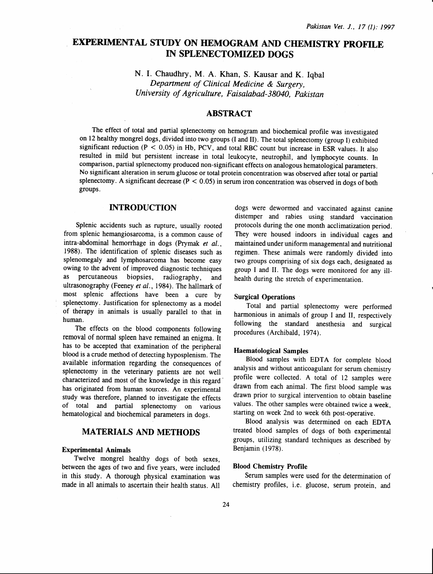# EXPERIMENTAL STUDY ON HEMOGRAM AND CHEMISTRY PROFILE IN SPLENECTOMIZED DOGS

N. I. Chaudhry, M. A. Khan, S. Kausar and K. Iqbal *Department of Clinical Medicine* & *Surgery, University of Agriculture, Faisalabad-38040, Pakistan* 

# ABSTRACT

The effect of total and partial splenectomy on hemogram and biochemical profile was investigated on 12 healthy mongrel dogs, divided into two groups (I and II). The total splenectomy (group I) exhibited significant reduction ( $P < 0.05$ ) in Hb, PCV, and total RBC count but increase in ESR values. It also resulted in mild but persistent increase in total leukocyte, neutrophil, and lymphocyte counts. In comparison, partial splenectomy produced non-significant effects on analogous hematological parameters. No significant alteration in serum glucose or total protein concentration was observed after total or partial splenectomy. A significant decrease ( $P < 0.05$ ) in serum iron concentration was observed in dogs of both groups.

# INTRODUCTION

Splenic accidents such as rupture, usually rooted from splenic hemangiosarcoma, is a common cause of intra-abdominal hemorrhage in dogs (Prymak *et al.,*  1988). The identification of splenic diseases such as splenomegaly and lymphosarcoma has become easy owing to the advent of improved diagnostic techniques as percutaneous biopsies, radiography, and ultrasonography (Feeney *et al.,* 1984). The hallmark of most splenic affections have been a cure by splenectomy. Justification for splenectomy as a model of therapy in animals is usually parallel to that in human.

The effects on the blood components following removal of normal spleen have remained an enigma. It has to be accepted that examination of the peripheral blood is a crude method of detecting hyposplenism. The available information regarding the consequences of splenectomy in the veterinary patients are not well characterized and most of the knowledge in this regard has originated from human sources. An experimental study was therefore, planned to investigate the effects of total and partial splenectomy on various hematological and biochemical parameters in dogs.

# MATERIALS AND METHODS

### Experimental Animals

Twelve mongrel healthy dogs of both sexes, between the ages of two and five years, were included in this study. A thorough physical examination was made in all animals to ascertain their health status. All

dogs were dewormed and vaccinated against canine distemper and rabies using standard vaccination protocols during the one month acclimatization period. They were housed indoors in individual cages and maintained under uniform managemental and nutritional regimen. These animals were randomly divided into two groups comprising of six dogs each, designated as group I and II. The dogs were monitored for any illhealth during the stretch of experimentation.

### Surgical Operations

Total and partial splenectomy were performed harmonious in animals of group I and II, respectively following the standard anesthesia and surgical procedures (Archibald, 1974).

#### Haematological Samples

Blood samples with EDTA for complete blood analysis and without anticoagulant for serum chemistry profile were collected. A total of 12 samples were drawn from each animal. The first blood sample was drawn prior to surgical intervention to obtain baseline values. The other samples were obtained twice a week, starting on week 2nd to week 6th post-operative.

Blood analysis was determined on each EDTA treated blood samples of dogs of both experimental groups, utilizing standard techniques as described by Benjamin (1978).

### Blood Chemistry Profile

Serum samples were used for the determination of chemistry profiles, i.e. glucose, serum protein, and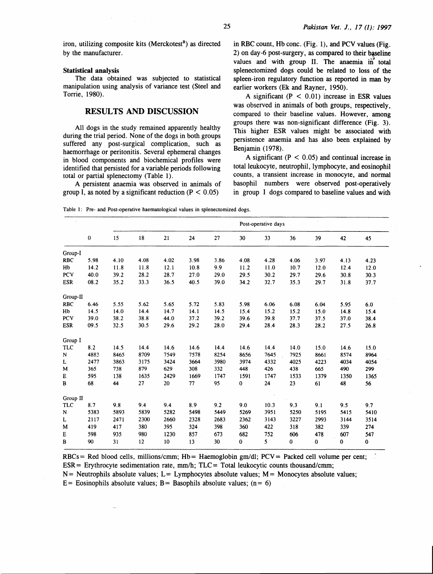iron, utilizing composite kits (Merckotest<sup>R</sup>) as directed by the manufacturer.

#### Statistical analysis

The data obtained was subjected to statistical manipulation using analysis of variance test (Steel and Torrie, 1980).

# RESULTS AND DISCUSSION

All dogs in the study remained apparently healthy during the trial period. None of the dogs in both groups suffered any post-surgical complication, such as haemorrhage or peritonitis. Several ephemeral changes in blood components and biochemical profiles were identified that persisted for a variable periods following total or partial splenectomy (Table 1).

A persistent anaemia was observed in animals of group I, as noted by a significant reduction ( $P < 0.05$ )

in RBC count, Hb cone. (Fig. 1), and PCV values (Fig.  $2)$  on day-6 post-surgery, as compared to their baseline values and with group II. The anaemia in total splenectomized dogs could be related to loss of the spleen-iron regulatory function as reported in man by earlier workers (Ek and Rayner, 1950).

A significant  $(P < 0.01)$  increase in ESR values was observed in animals of both groups, respectively, compared to their baseline values. However, among groups there was non-significant difference (Fig. 3). This higher ESR values might be associated with persistence anaemia and has also been explained by Benjamin (1978).

A significant ( $P < 0.05$ ) and continual increase in total leukocyte, neutrophil, lymphocyte, and eosinophil counts, a transient increase in monocyte, and normal basophil numbers were observed post-operatively in group I dogs compared to baseline values and with

Table I: Pre- and Post-operative haematological values in splenectomized dogs.

|             |          | Post-operative days |      |      |      |      |          |             |          |      |          |      |
|-------------|----------|---------------------|------|------|------|------|----------|-------------|----------|------|----------|------|
|             | $\bf{0}$ | 15                  | 18   | 21   | 24   | 27   | 30       | 33          | 36       | 39   | 42       | 45   |
| Group-I     |          |                     |      |      |      |      |          |             |          |      |          |      |
| <b>RBC</b>  | 5.98     | 4.10                | 4.08 | 4.02 | 3.98 | 3.86 | 4.08     | 4.28        | 4.06     | 3.97 | 4.13     | 4.23 |
| Hb          | 14.2     | 11.8                | 11.8 | 12.1 | 10.8 | 9.9  | 11.2     | 11.0        | 10.7     | 12.0 | 12.4     | 12.0 |
| PCV         | 40.0     | 39.2                | 28.2 | 28.7 | 27.0 | 29.0 | 29.5     | 30.2        | 29.7     | 29.6 | 30.8     | 30.3 |
| <b>ESR</b>  | 08.2     | 35.2                | 33.3 | 36.5 | 40.5 | 39.0 | 34.2     | 32.7        | 35.3     | 29.7 | 31.8     | 37.7 |
| Group-II    |          |                     |      |      |      |      |          |             |          |      |          |      |
| <b>RBC</b>  | 6.46     | 5.55                | 5.62 | 5.65 | 5.72 | 5.83 | 5.98     | 6.06        | 6.08     | 6.04 | 5.95     | 6.0  |
| Hb          | 14.5     | 14.0                | 14.4 | 14.7 | 14.1 | 14.5 | 15.4     | 15.2        | 15.2     | 15.0 | 14.8     | 15.4 |
| PCV         | 39.0     | 38.2                | 38.8 | 44.0 | 37.2 | 39.2 | 39.6     | 39.8        | 37.7     | 37.5 | 37.0     | 38.4 |
| <b>ESR</b>  | 09.5     | 32.5                | 30.5 | 29.6 | 29.2 | 28.0 | 29.4     | 28.4        | 28.3     | 28.2 | 27.5     | 26.8 |
| Group I     |          |                     |      |      |      |      |          |             |          |      |          |      |
| <b>TLC</b>  | 8.2      | 14.5                | 14.4 | 14.6 | 14.6 | 14.4 | 14.6     | 14.4        | 14.0     | 15.0 | 14.6     | 15.0 |
| N           | 4883     | 8465                | 8709 | 7549 | 7578 | 8254 | 8656     | 7645        | 7925     | 8661 | 8574     | 8964 |
| L           | 2477     | 3863                | 3175 | 3424 | 3664 | 3980 | 3974     | 4332        | 4025     | 4223 | 4034     | 4054 |
| М           | 365      | 738                 | 879  | 629  | 308  | 332  | 448      | 426         | 438      | 665  | 490      | 299  |
| E           | 595      | 138                 | 1635 | 2429 | 1669 | 1747 | 1591     | 1747        | 1533     | 1379 | 1350     | 1365 |
| B           | 68       | 44                  | 27   | 20   | 77   | 95   | 0        | 24          | 23       | 61   | 48       | 56   |
| Group II    |          |                     |      |      |      |      |          |             |          |      |          |      |
| <b>TLC</b>  | 8.7      | 9.8                 | 9.4  | 9.4  | 8.9  | 9.2  | 9.0      | 10.3        | 9.3      | 9.1  | 9.5      | 9.7  |
| $\mathbf N$ | 5383     | 5893                | 5839 | 5282 | 5498 | 5449 | 5269     | 3951        | 5250     | 5195 | 5415     | 5410 |
| L           | 2117     | 2471                | 2300 | 2660 | 2328 | 2683 | 2362     | 3143        | 3227     | 2993 | 3144     | 3514 |
| M           | 419      | 417                 | 380  | 395  | 324  | 398  | 360      | 422         | 318      | 382  | 339      | 274  |
| E           | 598      | 935                 | 980  | 1230 | 857  | 673  | 682      | 752         | 606      | 478  | 607      | 547  |
| В           | 90       | 31                  | 12   | 10   | 13   | 30   | $\bf{0}$ | $5^{\circ}$ | $\bf{0}$ | 0    | $\bf{0}$ | 0    |

RBCs = Red blood cells, millions/cmm; Hb = Haemoglobin gm/dl; PCV = Packed cell volume per cent;  $ESR = Erythrocyte sedimentation rate, mm/h; TLC = Total leukocytic counts thousand/cmm;$ 

 $N =$  Neutrophils absolute values;  $L =$  Lymphocytes absolute values;  $M =$  Monocytes absolute values;

E= Eosinophils absolute values; B= Basophils absolute values;  $(n= 6)$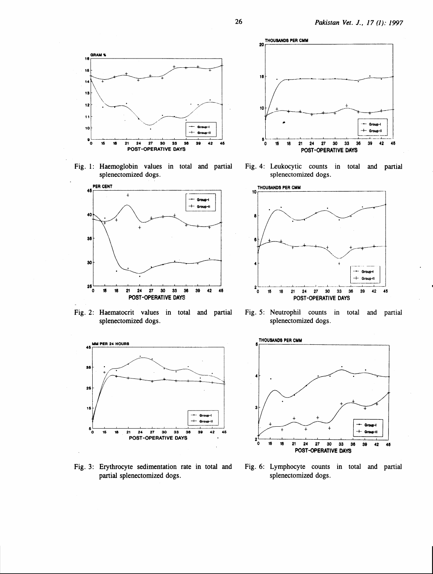

Fig. 1: Haemoglobin values in total and partial splenectomized dogs.



Fig. 2: Haematocrit values in total and partial splenectomized dogs.



Fig. 3: Erythrocyte sedimentation rate in total and partial splenectomized dogs.



Fig. 4: Leukocytic counts in total and partial splenectomized dogs.



Fig. 5: Neutrophil counts in total and partial splenectomized dogs.



Fig. 6: Lymphocyte counts in total and partial splenectomized dogs.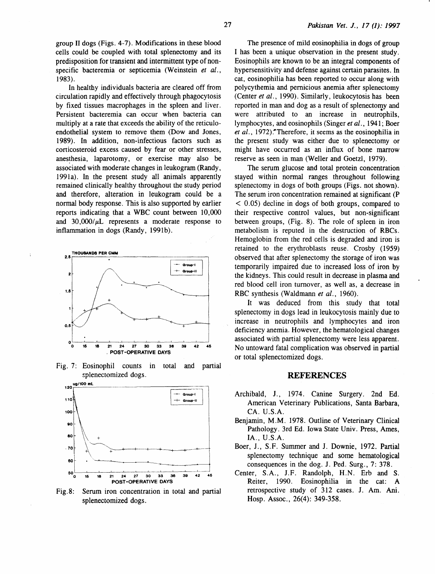group II dogs (Figs. 4-7). Modifications in these blood cells could be coupled with total splenectomy and its predisposition for transient and intermittent type of nonspecific bacteremia or septicemia (Weinstein *et al.,*  1983).

In healthy individuals bacteria are cleared off from circulation rapidly and effectively through phagocytosis by fixed tissues macrophages in the spleen and liver. Persistent bacteremia can occur when bacteria can multiply at a rate that exceeds the ability of the reticuloendothelial system to remove them (Dow and Jones, 1989). In addition, non-infectious factors such as corticosteroid excess caused by fear or other stresses, anesthesia, laparotomy, or exercise may also be associated with moderate changes in leukogram (Randy, 1991a). In the present study all animals apparently remained clinically healthy throughout the study period and therefore, alteration in leukogram could be a normal body response. This is also supported by earlier reports indicating that a WBC count between 10,000 and  $30,000/\mu L$  represents a moderate response to inflammation in dogs (Randy, 1991b).



Fig. 7: Eosinophil counts in total and partial splenectomized dogs.



Fig. 8: Serum iron concentration in total and partial splenectomized dogs.

The presence of mild eosinophilia in dogs of group I has been a unique observation in the present study. Eosinophils are known to be an integral components of hypersensitivity and defense against certain parasites. In cat, eosinophilia has been reported to occur along with polycythemia and pernicious anemia after splenectomy (Center *et al.,* 1990). Similarly, leukocytosis has been reported in man and dog as a result of splenectomy and were attributed to an increase in neutrophils, lymphocytes, and eosinophils (Singer *et al.,* 1941; Boer et al., 1972).<sup>•</sup>Therefore, it seems as the eosinophilia in the present study was either due to splenectomy or might have occurred as an influx of bone marrow reserve as seen in man (Weller and Goetz!, 1979).

The serum glucose and total protein concentration stayed within normal ranges throughout following splenectomy in dogs of both groups (Figs. not shown). The serum iron concentration remained at significant (P < 0.05) decline in dogs of both groups, compared to their respective control values, but non-significant between groups, (Fig. 8). The role of spleen in iron metabolism is reputed in the destruction of RBCs. Hemoglobin from the red cells is degraded and iron is retained to the erythroblasts reuse. Crosby (1959) observed that after splenectomy the storage of iron was temporarily impaired due to increased loss of iron by the kidneys. This could result in decrease in plasma and red blood cell iron turnover, as well as, a decrease in RBC synthesis (Waldmann *et al.,* 1960).

It was deduced from this study that total splenectomy in dogs lead in leukocytosis mainly due to increase in neutrophils and lymphocytes and iron deficiency anemia. However, the hematological changes associated with partial splenectomy were less apparent. No untoward fatal complication was observed in partial or total splenectomized dogs.

## REFERENCES

- Archibald, J., 1974. Canine Surgery. 2nd Ed. American Veterinary Publications, Santa Barbara, CA. U.S.A.
- Benjamin, M.M. 1978. Outline of Veterinary Clinical Pathology. 3rd Ed. Iowa State Univ. Press, Ames, lA., U.S.A.
- Boer, J., S.F. Summer and J. Downie, 1972. Partial splenectomy technique and some hematological consequences in the dog. J. Ped. Surg., 7: 378.
- Center, S.A., J.F. Randolph, H.N. Erb and S. Reiter, 1990. Eosinophilia in the cat: A retrospective study of 312 cases. J. Am. Ani. Hosp. Assoc., 26(4): 349-358.